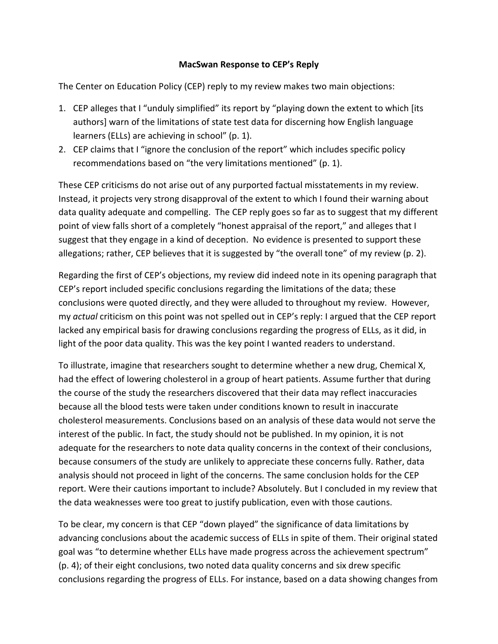## MacSwan Response to CEP's Reply

The Center on Education Policy (CEP) reply to my review makes two main objections:

- 1. CEP alleges that I "unduly simplified" its report by "playing down the extent to which [its authors] warn of the limitations of state test data for discerning how English language learners (ELLs) are achieving in school" (p. 1).
- 2. CEP claims that I "ignore the conclusion of the report" which includes specific policy recommendations based on "the very limitations mentioned" (p. 1).

These CEP criticisms do not arise out of any purported factual misstatements in my review. Instead, it projects very strong disapproval of the extent to which I found their warning about data quality adequate and compelling. The CEP reply goes so far as to suggest that my different point of view falls short of a completely "honest appraisal of the report," and alleges that I suggest that they engage in a kind of deception. No evidence is presented to support these allegations; rather, CEP believes that it is suggested by "the overall tone" of my review (p. 2).

Regarding the first of CEP's objections, my review did indeed note in its opening paragraph that CEP's report included specific conclusions regarding the limitations of the data; these conclusions were quoted directly, and they were alluded to throughout my review. However, my *actual* criticism on this point was not spelled out in CEP's reply: I argued that the CEP report lacked any empirical basis for drawing conclusions regarding the progress of ELLs, as it did, in light of the poor data quality. This was the key point I wanted readers to understand.

To illustrate, imagine that researchers sought to determine whether a new drug, Chemical X, had the effect of lowering cholesterol in a group of heart patients. Assume further that during the course of the study the researchers discovered that their data may reflect inaccuracies because all the blood tests were taken under conditions known to result in inaccurate cholesterol measurements. Conclusions based on an analysis of these data would not serve the interest of the public. In fact, the study should not be published. In my opinion, it is not adequate for the researchers to note data quality concerns in the context of their conclusions, because consumers of the study are unlikely to appreciate these concerns fully. Rather, data analysis should not proceed in light of the concerns. The same conclusion holds for the CEP report. Were their cautions important to include? Absolutely. But I concluded in my review that the data weaknesses were too great to justify publication, even with those cautions.

To be clear, my concern is that CEP "down played" the significance of data limitations by advancing conclusions about the academic success of ELLs in spite of them. Their original stated goal was "to determine whether ELLs have made progress across the achievement spectrum" (p. 4); of their eight conclusions, two noted data quality concerns and six drew specific conclusions regarding the progress of ELLs. For instance, based on a data showing changes from